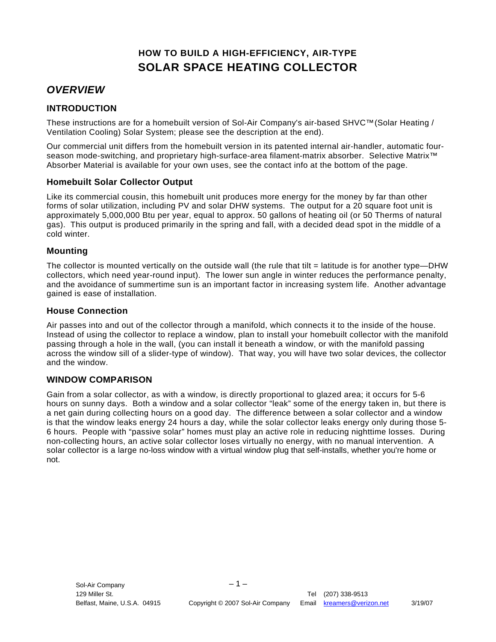### **HOW TO BUILD A HIGH-EFFICIENCY, AIR-TYPE SOLAR SPACE HEATING COLLECTOR**

### *OVERVIEW*

#### **INTRODUCTION**

These instructions are for a homebuilt version of Sol-Air Company's air-based SHVC™ (Solar Heating / Ventilation Cooling) Solar System; please see the description at the end).

Our commercial unit differs from the homebuilt version in its patented internal air-handler, automatic fourseason mode-switching, and proprietary high-surface-area filament-matrix absorber. Selective Matrix<sup>™</sup> Absorber Material is available for your own uses, see the contact info at the bottom of the page.

#### **Homebuilt Solar Collector Output**

Like its commercial cousin, this homebuilt unit produces more energy for the money by far than other forms of solar utilization, including PV and solar DHW systems. The output for a 20 square foot unit is approximately 5,000,000 Btu per year, equal to approx. 50 gallons of heating oil (or 50 Therms of natural gas). This output is produced primarily in the spring and fall, with a decided dead spot in the middle of a cold winter.

#### **Mounting**

The collector is mounted vertically on the outside wall (the rule that tilt = latitude is for another type—DHW collectors, which need year-round input). The lower sun angle in winter reduces the performance penalty, and the avoidance of summertime sun is an important factor in increasing system life. Another advantage gained is ease of installation.

#### **House Connection**

Air passes into and out of the collector through a manifold, which connects it to the inside of the house. Instead of using the collector to replace a window, plan to install your homebuilt collector with the manifold passing through a hole in the wall, (you can install it beneath a window, or with the manifold passing across the window sill of a slider-type of window). That way, you will have two solar devices, the collector and the window.

#### **WINDOW COMPARISON**

Gain from a solar collector, as with a window, is directly proportional to glazed area; it occurs for 5-6 hours on sunny days. Both a window and a solar collector "leak" some of the energy taken in, but there is a net gain during collecting hours on a good day. The difference between a solar collector and a window is that the window leaks energy 24 hours a day, while the solar collector leaks energy only during those 5- 6 hours. People with "passive solar" homes must play an active role in reducing nighttime losses. During non-collecting hours, an active solar collector loses virtually no energy, with no manual intervention. A solar collector is a large no-loss window with a virtual window plug that self-installs, whether you're home or not.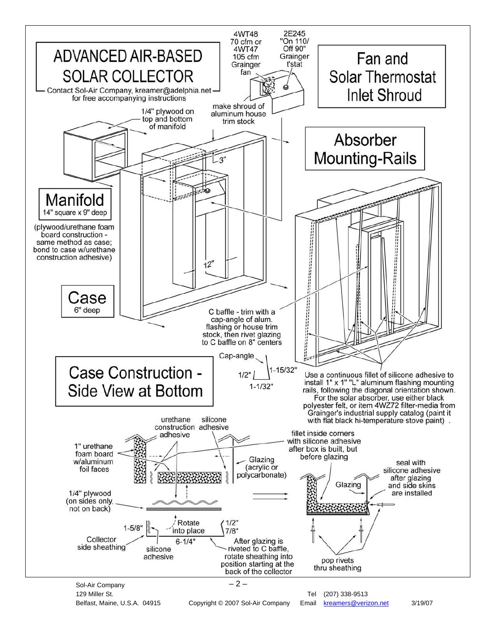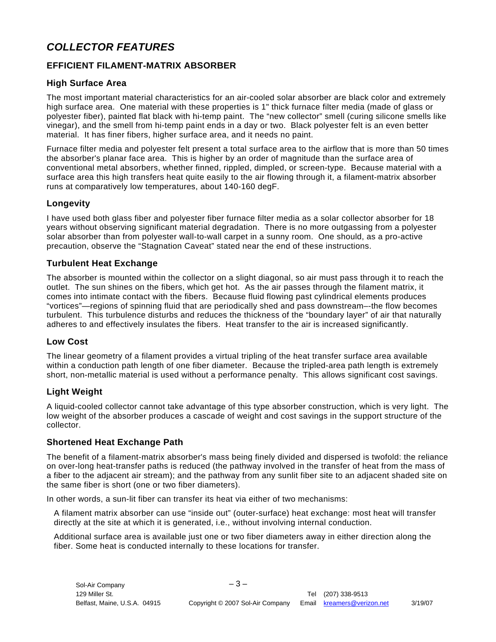### *COLLECTOR FEATURES*

#### **EFFICIENT FILAMENT-MATRIX ABSORBER**

#### **High Surface Area**

The most important material characteristics for an air-cooled solar absorber are black color and extremely high surface area. One material with these properties is 1" thick furnace filter media (made of glass or polyester fiber), painted flat black with hi-temp paint. The "new collector" smell (curing silicone smells like vinegar), and the smell from hi-temp paint ends in a day or two. Black polyester felt is an even better material. It has finer fibers, higher surface area, and it needs no paint.

Furnace filter media and polyester felt present a total surface area to the airflow that is more than 50 times the absorber's planar face area. This is higher by an order of magnitude than the surface area of conventional metal absorbers, whether finned, rippled, dimpled, or screen-type. Because material with a surface area this high transfers heat quite easily to the air flowing through it, a filament-matrix absorber runs at comparatively low temperatures, about 140-160 degF.

#### **Longevity**

I have used both glass fiber and polyester fiber furnace filter media as a solar collector absorber for 18 years without observing significant material degradation. There is no more outgassing from a polyester solar absorber than from polyester wall-to-wall carpet in a sunny room. One should, as a pro-active precaution, observe the "Stagnation Caveat" stated near the end of these instructions.

#### **Turbulent Heat Exchange**

The absorber is mounted within the collector on a slight diagonal, so air must pass through it to reach the outlet. The sun shines on the fibers, which get hot. As the air passes through the filament matrix, it comes into intimate contact with the fibers. Because fluid flowing past cylindrical elements produces "vortices"—regions of spinning fluid that are periodically shed and pass downstream–-the flow becomes turbulent. This turbulence disturbs and reduces the thickness of the "boundary layer" of air that naturally adheres to and effectively insulates the fibers. Heat transfer to the air is increased significantly.

#### **Low Cost**

The linear geometry of a filament provides a virtual tripling of the heat transfer surface area available within a conduction path length of one fiber diameter. Because the tripled-area path length is extremely short, non-metallic material is used without a performance penalty. This allows significant cost savings.

#### **Light Weight**

A liquid-cooled collector cannot take advantage of this type absorber construction, which is very light. The low weight of the absorber produces a cascade of weight and cost savings in the support structure of the collector.

#### **Shortened Heat Exchange Path**

The benefit of a filament-matrix absorber's mass being finely divided and dispersed is twofold: the reliance on over-long heat-transfer paths is reduced (the pathway involved in the transfer of heat from the mass of a fiber to the adjacent air stream); and the pathway from any sunlit fiber site to an adjacent shaded site on the same fiber is short (one or two fiber diameters).

In other words, a sun-lit fiber can transfer its heat via either of two mechanisms:

A filament matrix absorber can use "inside out" (outer-surface) heat exchange: most heat will transfer directly at the site at which it is generated, i.e., without involving internal conduction.

Additional surface area is available just one or two fiber diameters away in either direction along the fiber. Some heat is conducted internally to these locations for transfer.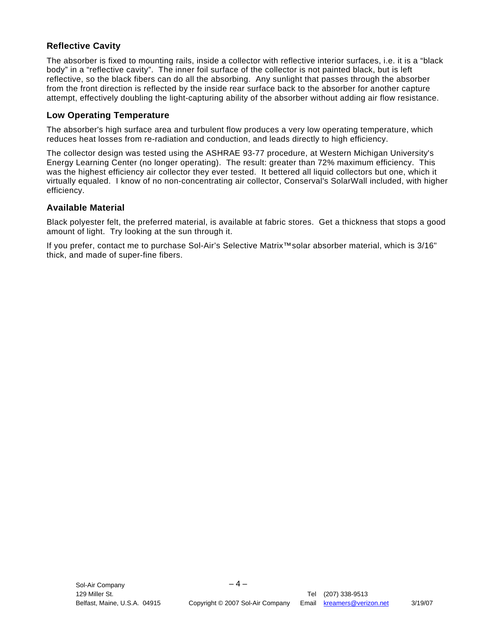#### **Reflective Cavity**

The absorber is fixed to mounting rails, inside a collector with reflective interior surfaces, i.e. it is a "black body" in a "reflective cavity". The inner foil surface of the collector is not painted black, but is left reflective, so the black fibers can do all the absorbing. Any sunlight that passes through the absorber from the front direction is reflected by the inside rear surface back to the absorber for another capture attempt, effectively doubling the light-capturing ability of the absorber without adding air flow resistance.

#### **Low Operating Temperature**

The absorber's high surface area and turbulent flow produces a very low operating temperature, which reduces heat losses from re-radiation and conduction, and leads directly to high efficiency.

The collector design was tested using the ASHRAE 93-77 procedure, at Western Michigan University's Energy Learning Center (no longer operating). The result: greater than 72% maximum efficiency. This was the highest efficiency air collector they ever tested. It bettered all liquid collectors but one, which it virtually equaled. I know of no non-concentrating air collector, Conserval's SolarWall included, with higher efficiency.

#### **Available Material**

Black polyester felt, the preferred material, is available at fabric stores. Get a thickness that stops a good amount of light. Try looking at the sun through it.

If you prefer, contact me to purchase Sol-Air's Selective Matrix™ solar absorber material, which is 3/16" thick, and made of super-fine fibers.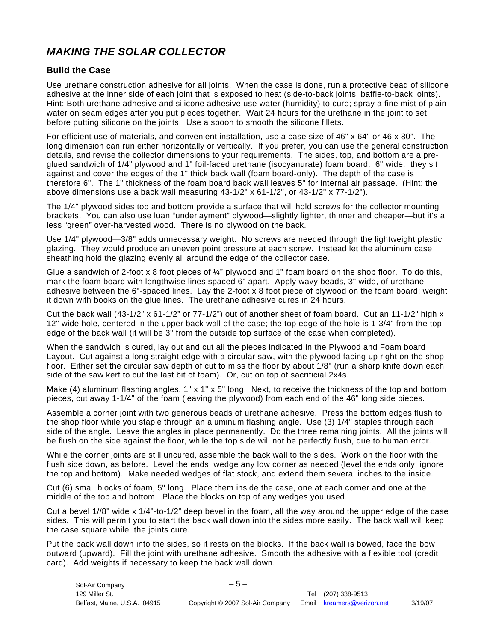### *MAKING THE SOLAR COLLECTOR*

#### **Build the Case**

Use urethane construction adhesive for all joints. When the case is done, run a protective bead of silicone adhesive at the inner side of each joint that is exposed to heat (side-to-back joints; baffle-to-back joints). Hint: Both urethane adhesive and silicone adhesive use water (humidity) to cure; spray a fine mist of plain water on seam edges after you put pieces together. Wait 24 hours for the urethane in the joint to set before putting silicone on the joints. Use a spoon to smooth the silicone fillets.

For efficient use of materials, and convenient installation, use a case size of 46" x 64" or 46 x 80". The long dimension can run either horizontally or vertically. If you prefer, you can use the general construction details, and revise the collector dimensions to your requirements. The sides, top, and bottom are a preglued sandwich of 1/4" plywood and 1" foil-faced urethane (isocyanurate) foam board. 6" wide, they sit against and cover the edges of the 1" thick back wall (foam board-only). The depth of the case is therefore 6". The 1" thickness of the foam board back wall leaves 5" for internal air passage. (Hint: the above dimensions use a back wall measuring 43-1/2" x 61-1/2", or 43-1/2" x 77-1/2").

The 1/4" plywood sides top and bottom provide a surface that will hold screws for the collector mounting brackets. You can also use luan "underlayment" plywood—slightly lighter, thinner and cheaper—but it's a less "green" over-harvested wood. There is no plywood on the back.

Use 1/4" plywood—3/8" adds unnecessary weight. No screws are needed through the lightweight plastic glazing. They would produce an uneven point pressure at each screw. Instead let the aluminum case sheathing hold the glazing evenly all around the edge of the collector case.

Glue a sandwich of 2-foot x 8 foot pieces of  $\frac{1}{4}$ " plywood and 1" foam board on the shop floor. To do this, mark the foam board with lengthwise lines spaced 6" apart. Apply wavy beads, 3" wide, of urethane adhesive between the 6"-spaced lines. Lay the 2-foot x 8 foot piece of plywood on the foam board; weight it down with books on the glue lines. The urethane adhesive cures in 24 hours.

Cut the back wall (43-1/2" x 61-1/2" or 77-1/2") out of another sheet of foam board. Cut an 11-1/2" high x 12" wide hole, centered in the upper back wall of the case; the top edge of the hole is 1-3/4" from the top edge of the back wall (it will be 3" from the outside top surface of the case when completed).

When the sandwich is cured, lay out and cut all the pieces indicated in the Plywood and Foam board Layout. Cut against a long straight edge with a circular saw, with the plywood facing up right on the shop floor. Either set the circular saw depth of cut to miss the floor by about 1/8" (run a sharp knife down each side of the saw kerf to cut the last bit of foam). Or, cut on top of sacrificial 2x4s.

Make (4) aluminum flashing angles, 1" x 1" x 5" long. Next, to receive the thickness of the top and bottom pieces, cut away 1-1/4" of the foam (leaving the plywood) from each end of the 46" long side pieces.

Assemble a corner joint with two generous beads of urethane adhesive. Press the bottom edges flush to the shop floor while you staple through an aluminum flashing angle. Use (3) 1/4" staples through each side of the angle. Leave the angles in place permanently. Do the three remaining joints. All the joints will be flush on the side against the floor, while the top side will not be perfectly flush, due to human error.

While the corner joints are still uncured, assemble the back wall to the sides. Work on the floor with the flush side down, as before. Level the ends; wedge any low corner as needed (level the ends only; ignore the top and bottom). Make needed wedges of flat stock, and extend them several inches to the inside.

Cut (6) small blocks of foam, 5" long. Place them inside the case, one at each corner and one at the middle of the top and bottom. Place the blocks on top of any wedges you used.

Cut a bevel 1//8" wide x 1/4"-to-1/2" deep bevel in the foam, all the way around the upper edge of the case sides. This will permit you to start the back wall down into the sides more easily. The back wall will keep the case square while the joints cure.

Put the back wall down into the sides, so it rests on the blocks. If the back wall is bowed, face the bow outward (upward). Fill the joint with urethane adhesive. Smooth the adhesive with a flexible tool (credit card). Add weights if necessary to keep the back wall down.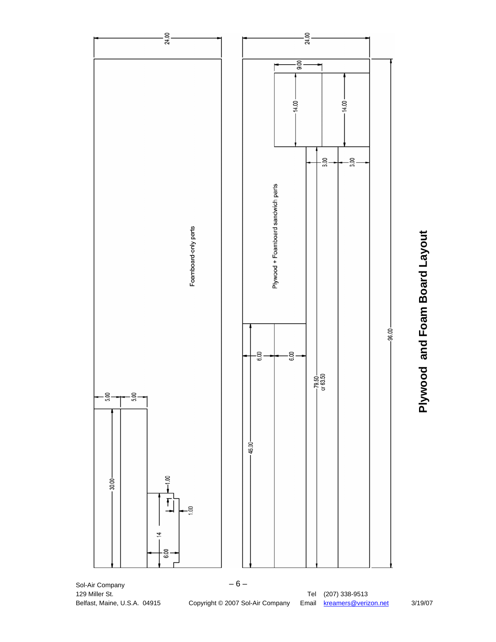

Plywood and Foam Board Layout **Plywood and Foam Board Layout** 

Sol-Air Company<br>129 Miller St.

Belfast, Maine, U.S.A. 04915 Copyright © 2007 Sol-Air Company Email kreamers @verizon.net 3/19/07

Tel (207) 338-9513<br>mail <u>kreamers@verizon.net</u>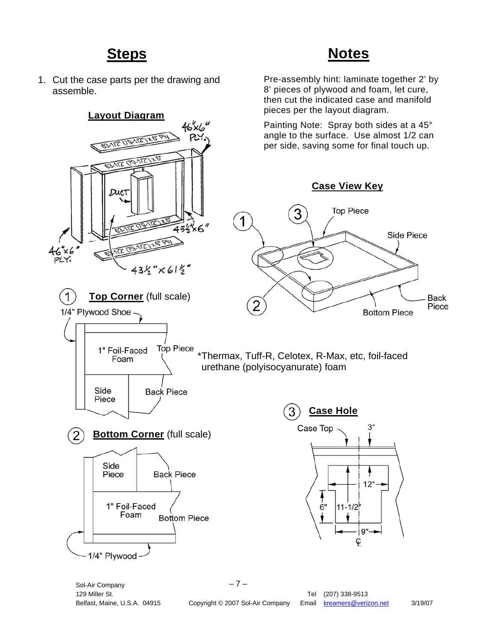## **Steps Notes**

1. Cut the case parts per the drawing and assemble.

#### pieces per the layout diagram. **Layout Diagram** Painting Note: Spray both sides at a 45° angle to the surface. Use almost 1/2 can  $(79 - 1)2^{10}$ per side, saving some for final touch up. 63-112" (79-112") **Case View Key Top Piece**  $\overline{\mathbf{1}}$  $43446''$ **Side Piece**  $43\frac{1}{2}$ "  $\times 61\frac{1}{2}$ " **Top Corner** (full scale) 1 **Back** Piece 1/4" Plywood Shoe **Bottom Piece Top Piece** 1" Foil-Faced \* Thermax, Tuff-R, Celotex, R-Max, etc, foil-faced Foam urethane (polyisocyanurate) foam Side **Back Piece** Piece 3 **Case Hole**Case Top **Bottom Corner** (full scale) 2 Side Piece **Back Piece**  $12"$ 1" Foil-Faced 6"  $11 - 1/2$ Foam **Bottom Piece** 9 ¢ 1/4" Plywood

Sol-Air Company

 $-7-$ 

Pre-assembly hint: laminate together 2' by 8' pieces of plywood and foam, let cure, then cut the indicated case and manifold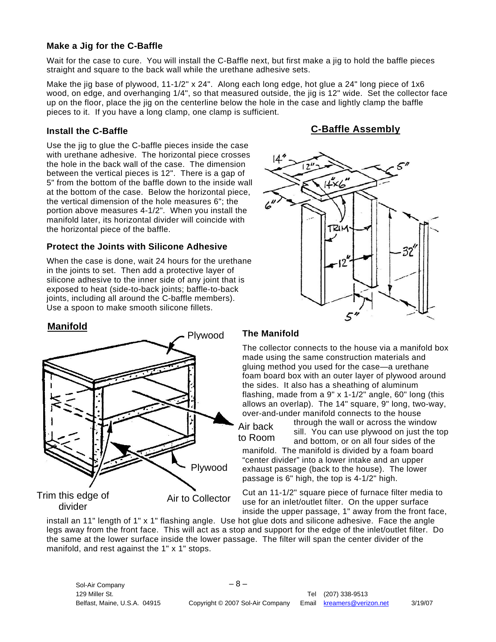#### **Make a Jig for the C-Baffle**

Wait for the case to cure. You will install the C-Baffle next, but first make a jig to hold the baffle pieces straight and square to the back wall while the urethane adhesive sets.

Make the jig base of plywood, 11-1/2" x 24". Along each long edge, hot glue a 24" long piece of 1x6 wood, on edge, and overhanging 1/4", so that measured outside, the jig is 12" wide. Set the collector face up on the floor, place the jig on the centerline below the hole in the case and lightly clamp the baffle pieces to it. If you have a long clamp, one clamp is sufficient.

#### **Install the C-Baffle**

Use the jig to glue the C-baffle pieces inside the case with urethane adhesive. The horizontal piece crosses the hole in the back wall of the case. The dimension between the vertical pieces is 12". There is a gap of 5" from the bottom of the baffle down to the inside wall at the bottom of the case. Below the horizontal piece, the vertical dimension of the hole measures 6"; the portion above measures 4-1/2". When you install the manifold later, its horizontal divider will coincide with the horizontal piece of the baffle.

#### **Protect the Joints with Silicone Adhesive**

When the case is done, wait 24 hours for the urethane in the joints to set. Then add a protective layer of silicone adhesive to the inner side of any joint that is exposed to heat (side-to-back joints; baffle-to-back joints, including all around the C-baffle members). Use a spoon to make smooth silicone fillets.

#### **Manifold**



#### **C-Baffle Assembly**



#### **The Manifold**

The collector connects to the house via a manifold box made using the same construction materials and gluing method you used for the case—a urethane foam board box with an outer layer of plywood around the sides. It also has a sheathing of aluminum flashing, made from a 9" x 1-1/2" angle, 60" long (this allows an overlap). The 14" square, 9" long, two-way, over-and-under manifold connects to the house

Air back to Room through the wall or across the window sill. You can use plywood on just the top and bottom, or on all four sides of the

manifold. The manifold is divided by a foam board "center divider" into a lower intake and an upper exhaust passage (back to the house). The lower passage is 6" high, the top is 4-1/2" high.

Cut an 11-1/2" square piece of furnace filter media to use for an inlet/outlet filter. On the upper surface inside the upper passage, 1" away from the front face,

install an 11" length of 1" x 1" flashing angle. Use hot glue dots and silicone adhesive. Face the angle legs away from the front face. This will act as a stop and support for the edge of the inlet/outlet filter. Do the same at the lower surface inside the lower passage. The filter will span the center divider of the manifold, and rest against the 1" x 1" stops.

Sol-Air Company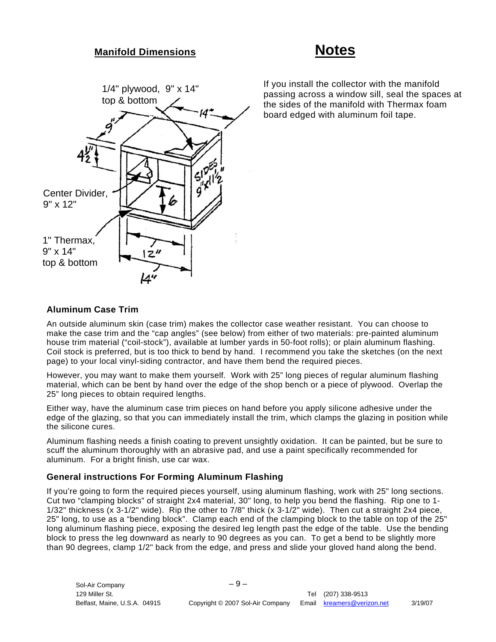#### **Manifold Dimensions**

### **Notes**



If you install the collector with the manifold passing across a window sill, seal the spaces at the sides of the manifold with Thermax foam board edged with aluminum foil tape.

#### **Aluminum Case Trim**

An outside aluminum skin (case trim) makes the collector case weather resistant. You can choose to make the case trim and the "cap angles" (see below) from either of two materials: pre-painted aluminum house trim material ("coil-stock"), available at lumber yards in 50-foot rolls); or plain aluminum flashing. Coil stock is preferred, but is too thick to bend by hand. I recommend you take the sketches (on the next page) to your local vinyl-siding contractor, and have them bend the required pieces.

However, you may want to make them yourself. Work with 25" long pieces of regular aluminum flashing material, which can be bent by hand over the edge of the shop bench or a piece of plywood. Overlap the 25" long pieces to obtain required lengths.

Either way, have the aluminum case trim pieces on hand before you apply silicone adhesive under the edge of the glazing, so that you can immediately install the trim, which clamps the glazing in position while the silicone cures.

Aluminum flashing needs a finish coating to prevent unsightly oxidation. It can be painted, but be sure to scuff the aluminum thoroughly with an abrasive pad, and use a paint specifically recommended for aluminum. For a bright finish, use car wax.

#### **General instructions For Forming Aluminum Flashing**

If you're going to form the required pieces yourself, using aluminum flashing, work with 25" long sections. Cut two "clamping blocks" of straight 2x4 material, 30" long, to help you bend the flashing. Rip one to 1- 1/32" thickness (x 3-1/2" wide). Rip the other to 7/8" thick (x 3-1/2" wide). Then cut a straight 2x4 piece, 25" long, to use as a "bending block". Clamp each end of the clamping block to the table on top of the 25" long aluminum flashing piece, exposing the desired leg length past the edge of the table. Use the bending block to press the leg downward as nearly to 90 degrees as you can. To get a bend to be slightly more than 90 degrees, clamp 1/2" back from the edge, and press and slide your gloved hand along the bend.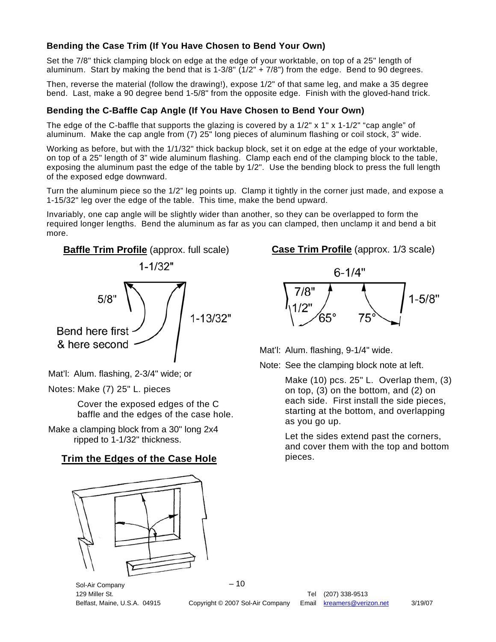#### **Bending the Case Trim (If You Have Chosen to Bend Your Own)**

Set the 7/8" thick clamping block on edge at the edge of your worktable, on top of a 25" length of aluminum. Start by making the bend that is  $1-3/8$ "  $(1/2" + 7/8")$  from the edge. Bend to 90 degrees.

Then, reverse the material (follow the drawing!), expose 1/2" of that same leg, and make a 35 degree bend. Last, make a 90 degree bend 1-5/8" from the opposite edge. Finish with the gloved-hand trick.

#### **Bending the C-Baffle Cap Angle (If You Have Chosen to Bend Your Own)**

The edge of the C-baffle that supports the glazing is covered by a  $1/2$ " x  $1$ " x  $1-1/2$ " "cap angle" of aluminum. Make the cap angle from (7) 25" long pieces of aluminum flashing or coil stock, 3" wide.

Working as before, but with the 1/1/32" thick backup block, set it on edge at the edge of your worktable, on top of a 25" length of 3" wide aluminum flashing. Clamp each end of the clamping block to the table, exposing the aluminum past the edge of the table by 1/2". Use the bending block to press the full length of the exposed edge downward.

Turn the aluminum piece so the 1/2" leg points up. Clamp it tightly in the corner just made, and expose a 1-15/32" leg over the edge of the table. This time, make the bend upward.

Invariably, one cap angle will be slightly wider than another, so they can be overlapped to form the required longer lengths. Bend the aluminum as far as you can clamped, then unclamp it and bend a bit more.



Mat'l: Alum. flashing, 2-3/4" wide; or

Notes: Make (7) 25" L. pieces

Cover the exposed edges of the C baffle and the edges of the case hole.

Make a clamping block from a 30" long 2x4 ripped to 1-1/32" thickness.

#### **Trim the Edges of the Case Hole**

**Case Trim Profile** (approx. 1/3 scale)



Mat'l: Alum. flashing, 9-1/4" wide.

Note: See the clamping block note at left.

Make (10) pcs. 25" L. Overlap them, (3) on top, (3) on the bottom, and (2) on each side. First install the side pieces, starting at the bottom, and overlapping as you go up.

Let the sides extend past the corners, and cover them with the top and bottom pieces.



Sol-Air Company

 $-10$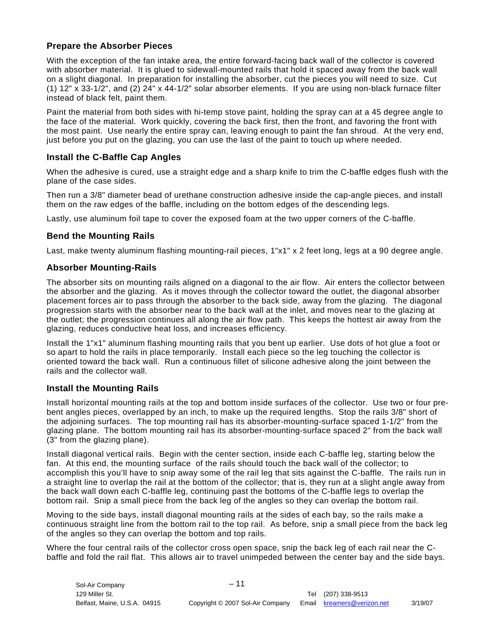#### **Prepare the Absorber Pieces**

With the exception of the fan intake area, the entire forward-facing back wall of the collector is covered with absorber material. It is glued to sidewall-mounted rails that hold it spaced away from the back wall on a slight diagonal. In preparation for installing the absorber, cut the pieces you will need to size. Cut (1) 12" x 33-1/2", and (2) 24" x 44-1/2" solar absorber elements. If you are using non-black furnace filter instead of black felt, paint them.

Paint the material from both sides with hi-temp stove paint, holding the spray can at a 45 degree angle to the face of the material. Work quickly, covering the back first, then the front, and favoring the front with the most paint. Use nearly the entire spray can, leaving enough to paint the fan shroud. At the very end, just before you put on the glazing, you can use the last of the paint to touch up where needed.

#### **Install the C-Baffle Cap Angles**

When the adhesive is cured, use a straight edge and a sharp knife to trim the C-baffle edges flush with the plane of the case sides.

Then run a 3/8" diameter bead of urethane construction adhesive inside the cap-angle pieces, and install them on the raw edges of the baffle, including on the bottom edges of the descending legs.

Lastly, use aluminum foil tape to cover the exposed foam at the two upper corners of the C-baffle.

#### **Bend the Mounting Rails**

Last, make twenty aluminum flashing mounting-rail pieces, 1"x1" x 2 feet long, legs at a 90 degree angle.

#### **Absorber Mounting-Rails**

The absorber sits on mounting rails aligned on a diagonal to the air flow. Air enters the collector between the absorber and the glazing. As it moves through the collector toward the outlet, the diagonal absorber placement forces air to pass through the absorber to the back side, away from the glazing. The diagonal progression starts with the absorber near to the back wall at the inlet, and moves near to the glazing at the outlet; the progression continues all along the air flow path. This keeps the hottest air away from the glazing, reduces conductive heat loss, and increases efficiency.

Install the 1"x1" aluminum flashing mounting rails that you bent up earlier. Use dots of hot glue a foot or so apart to hold the rails in place temporarily. Install each piece so the leg touching the collector is oriented toward the back wall. Run a continuous fillet of silicone adhesive along the joint between the rails and the collector wall.

#### **Install the Mounting Rails**

Install horizontal mounting rails at the top and bottom inside surfaces of the collector. Use two or four prebent angles pieces, overlapped by an inch, to make up the required lengths. Stop the rails 3/8" short of the adjoining surfaces. The top mounting rail has its absorber-mounting-surface spaced 1-1/2" from the glazing plane. The bottom mounting rail has its absorber-mounting-surface spaced 2" from the back wall (3" from the glazing plane).

Install diagonal vertical rails. Begin with the center section, inside each C-baffle leg, starting below the fan. At this end, the mounting surface of the rails should touch the back wall of the collector; to accomplish this you'll have to snip away some of the rail leg that sits against the C-baffle. The rails run in a straight line to overlap the rail at the bottom of the collector; that is, they run at a slight angle away from the back wall down each C-baffle leg, continuing past the bottoms of the C-baffle legs to overlap the bottom rail. Snip a small piece from the back leg of the angles so they can overlap the bottom rail.

Moving to the side bays, install diagonal mounting rails at the sides of each bay, so the rails make a continuous straight line from the bottom rail to the top rail. As before, snip a small piece from the back leg of the angles so they can overlap the bottom and top rails.

Where the four central rails of the collector cross open space, snip the back leg of each rail near the Cbaffle and fold the rail flat. This allows air to travel unimpeded between the center bay and the side bays.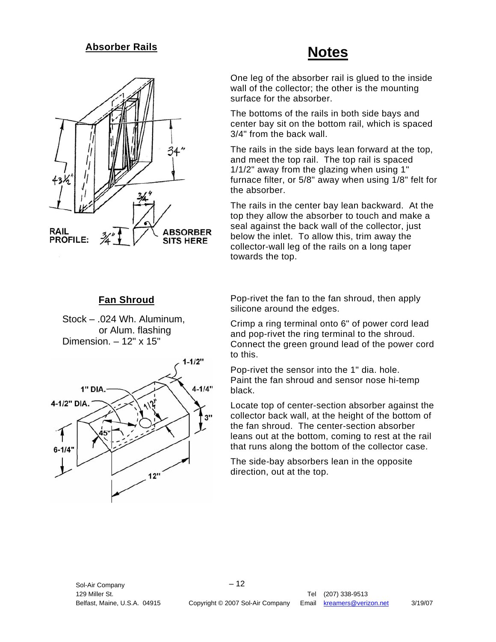#### **Absorber Rails**



#### **Fan Shroud**

Stock – .024 Wh. Aluminum, or Alum. flashing Dimension.  $-12" \times 15"$ 



### **Notes**

One leg of the absorber rail is glued to the inside wall of the collector; the other is the mounting surface for the absorber.

The bottoms of the rails in both side bays and center bay sit on the bottom rail, which is spaced 3/4" from the back wall.

The rails in the side bays lean forward at the top, and meet the top rail. The top rail is spaced 1/1/2" away from the glazing when using 1" furnace filter, or 5/8" away when using 1/8" felt for the absorber.

The rails in the center bay lean backward. At the top they allow the absorber to touch and make a seal against the back wall of the collector, just below the inlet. To allow this, trim away the collector-wall leg of the rails on a long taper towards the top.

Pop-rivet the fan to the fan shroud, then apply silicone around the edges.

Crimp a ring terminal onto 6" of power cord lead and pop-rivet the ring terminal to the shroud. Connect the green ground lead of the power cord to this.

Pop-rivet the sensor into the 1" dia. hole. Paint the fan shroud and sensor nose hi-temp black.

Locate top of center-section absorber against the collector back wall, at the height of the bottom of the fan shroud. The center-section absorber leans out at the bottom, coming to rest at the rail that runs along the bottom of the collector case.

The side-bay absorbers lean in the opposite direction, out at the top.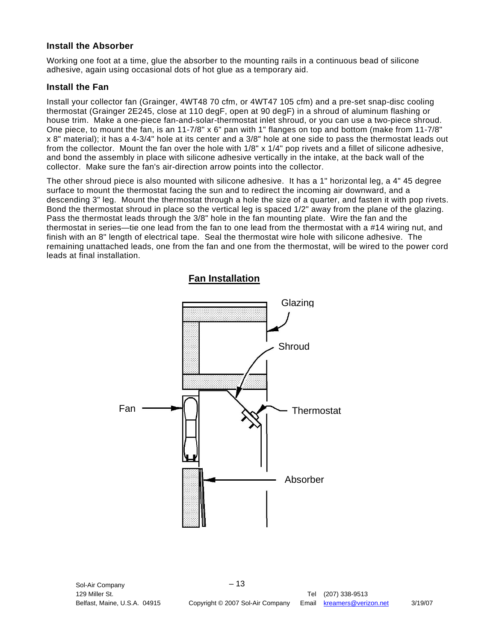#### **Install the Absorber**

Working one foot at a time, glue the absorber to the mounting rails in a continuous bead of silicone adhesive, again using occasional dots of hot glue as a temporary aid.

#### **Install the Fan**

Install your collector fan (Grainger, 4WT48 70 cfm, or 4WT47 105 cfm) and a pre-set snap-disc cooling thermostat (Grainger 2E245, close at 110 degF, open at 90 degF) in a shroud of aluminum flashing or house trim. Make a one-piece fan-and-solar-thermostat inlet shroud, or you can use a two-piece shroud. One piece, to mount the fan, is an 11-7/8" x 6" pan with 1" flanges on top and bottom (make from 11-7/8" x 8" material); it has a 4-3/4" hole at its center and a 3/8" hole at one side to pass the thermostat leads out from the collector. Mount the fan over the hole with 1/8" x 1/4" pop rivets and a fillet of silicone adhesive, and bond the assembly in place with silicone adhesive vertically in the intake, at the back wall of the collector. Make sure the fan's air-direction arrow points into the collector.

The other shroud piece is also mounted with silicone adhesive. It has a 1" horizontal leg, a 4" 45 degree surface to mount the thermostat facing the sun and to redirect the incoming air downward, and a descending 3" leg. Mount the thermostat through a hole the size of a quarter, and fasten it with pop rivets. Bond the thermostat shroud in place so the vertical leg is spaced 1/2" away from the plane of the glazing. Pass the thermostat leads through the 3/8" hole in the fan mounting plate. Wire the fan and the thermostat in series—tie one lead from the fan to one lead from the thermostat with a #14 wiring nut, and finish with an 8" length of electrical tape. Seal the thermostat wire hole with silicone adhesive. The remaining unattached leads, one from the fan and one from the thermostat, will be wired to the power cord leads at final installation.

#### **Fan Installation**

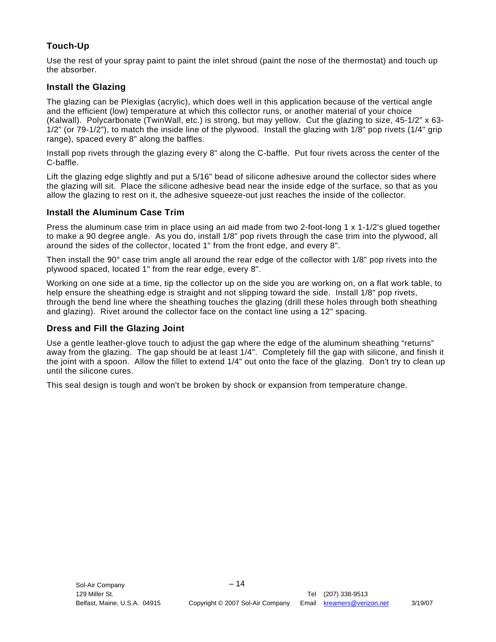#### **Touch-Up**

Use the rest of your spray paint to paint the inlet shroud (paint the nose of the thermostat) and touch up the absorber.

#### **Install the Glazing**

The glazing can be Plexiglas (acrylic), which does well in this application because of the vertical angle and the efficient (low) temperature at which this collector runs, or another material of your choice (Kalwall). Polycarbonate (TwinWall, etc.) is strong, but may yellow. Cut the glazing to size, 45-1/2" x 63- 1/2" (or 79-1/2"), to match the inside line of the plywood. Install the glazing with 1/8" pop rivets (1/4" grip range), spaced every 8" along the baffles.

Install pop rivets through the glazing every 8" along the C-baffle. Put four rivets across the center of the C-baffle.

Lift the glazing edge slightly and put a 5/16" bead of silicone adhesive around the collector sides where the glazing will sit. Place the silicone adhesive bead near the inside edge of the surface, so that as you allow the glazing to rest on it, the adhesive squeeze-out just reaches the inside of the collector.

#### **Install the Aluminum Case Trim**

Press the aluminum case trim in place using an aid made from two 2-foot-long 1 x 1-1/2's glued together to make a 90 degree angle. As you do, install 1/8" pop rivets through the case trim into the plywood, all around the sides of the collector, located 1" from the front edge, and every 8".

Then install the 90° case trim angle all around the rear edge of the collector with 1/8" pop rivets into the plywood spaced, located 1" from the rear edge, every 8".

Working on one side at a time, tip the collector up on the side you are working on, on a flat work table, to help ensure the sheathing edge is straight and not slipping toward the side. Install 1/8" pop rivets, through the bend line where the sheathing touches the glazing (drill these holes through both sheathing and glazing). Rivet around the collector face on the contact line using a 12" spacing.

#### **Dress and Fill the Glazing Joint**

Use a gentle leather-glove touch to adjust the gap where the edge of the aluminum sheathing "returns" away from the glazing. The gap should be at least 1/4". Completely fill the gap with silicone, and finish it the joint with a spoon. Allow the fillet to extend 1/4" out onto the face of the glazing. Don't try to clean up until the silicone cures.

This seal design is tough and won't be broken by shock or expansion from temperature change.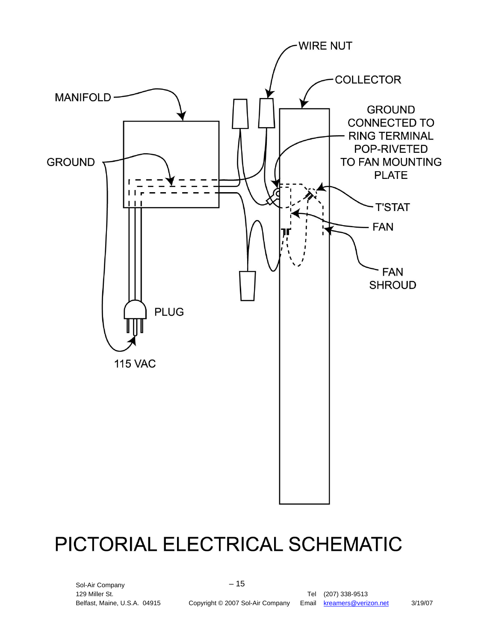

# PICTORIAL ELECTRICAL SCHEMATIC

Sol-Air Company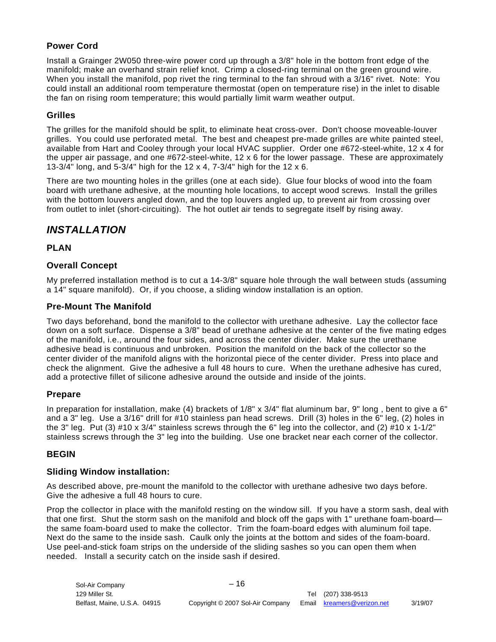#### **Power Cord**

Install a Grainger 2W050 three-wire power cord up through a 3/8" hole in the bottom front edge of the manifold; make an overhand strain relief knot. Crimp a closed-ring terminal on the green ground wire. When you install the manifold, pop rivet the ring terminal to the fan shroud with a 3/16" rivet. Note: You could install an additional room temperature thermostat (open on temperature rise) in the inlet to disable the fan on rising room temperature; this would partially limit warm weather output.

#### **Grilles**

The grilles for the manifold should be split, to eliminate heat cross-over. Don't choose moveable-louver grilles. You could use perforated metal. The best and cheapest pre-made grilles are white painted steel, available from Hart and Cooley through your local HVAC supplier. Order one #672-steel-white, 12 x 4 for the upper air passage, and one #672-steel-white, 12 x 6 for the lower passage. These are approximately 13-3/4" long, and 5-3/4" high for the 12 x 4, 7-3/4" high for the 12 x 6.

There are two mounting holes in the grilles (one at each side). Glue four blocks of wood into the foam board with urethane adhesive, at the mounting hole locations, to accept wood screws. Install the grilles with the bottom louvers angled down, and the top louvers angled up, to prevent air from crossing over from outlet to inlet (short-circuiting). The hot outlet air tends to segregate itself by rising away.

### *INSTALLATION*

#### **PLAN**

#### **Overall Concept**

My preferred installation method is to cut a 14-3/8" square hole through the wall between studs (assuming a 14" square manifold). Or, if you choose, a sliding window installation is an option.

#### **Pre-Mount The Manifold**

Two days beforehand, bond the manifold to the collector with urethane adhesive. Lay the collector face down on a soft surface. Dispense a 3/8" bead of urethane adhesive at the center of the five mating edges of the manifold, i.e., around the four sides, and across the center divider. Make sure the urethane adhesive bead is continuous and unbroken. Position the manifold on the back of the collector so the center divider of the manifold aligns with the horizontal piece of the center divider. Press into place and check the alignment. Give the adhesive a full 48 hours to cure. When the urethane adhesive has cured, add a protective fillet of silicone adhesive around the outside and inside of the joints.

#### **Prepare**

In preparation for installation, make (4) brackets of 1/8" x 3/4" flat aluminum bar, 9" long , bent to give a 6" and a 3" leg. Use a 3/16" drill for #10 stainless pan head screws. Drill (3) holes in the 6" leg, (2) holes in the 3" leg. Put (3) #10 x  $3/4$ " stainless screws through the 6" leg into the collector, and (2) #10 x 1-1/2" stainless screws through the 3" leg into the building. Use one bracket near each corner of the collector.

#### **BEGIN**

#### **Sliding Window installation:**

As described above, pre-mount the manifold to the collector with urethane adhesive two days before. Give the adhesive a full 48 hours to cure.

Prop the collector in place with the manifold resting on the window sill. If you have a storm sash, deal with that one first. Shut the storm sash on the manifold and block off the gaps with 1" urethane foam-board the same foam-board used to make the collector. Trim the foam-board edges with aluminum foil tape. Next do the same to the inside sash. Caulk only the joints at the bottom and sides of the foam-board. Use peel-and-stick foam strips on the underside of the sliding sashes so you can open them when needed. Install a security catch on the inside sash if desired.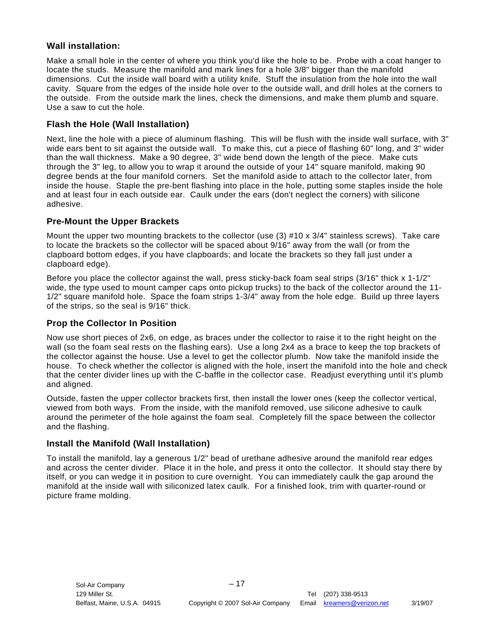#### **Wall installation:**

Make a small hole in the center of where you think you'd like the hole to be. Probe with a coat hanger to locate the studs. Measure the manifold and mark lines for a hole 3/8" bigger than the manifold dimensions. Cut the inside wall board with a utility knife. Stuff the insulation from the hole into the wall cavity. Square from the edges of the inside hole over to the outside wall, and drill holes at the corners to the outside. From the outside mark the lines, check the dimensions, and make them plumb and square. Use a saw to cut the hole.

#### **Flash the Hole (Wall Installation)**

Next, line the hole with a piece of aluminum flashing. This will be flush with the inside wall surface, with 3" wide ears bent to sit against the outside wall. To make this, cut a piece of flashing 60" long, and 3" wider than the wall thickness. Make a 90 degree, 3" wide bend down the length of the piece. Make cuts through the 3" leg, to allow you to wrap it around the outside of your 14" square manifold, making 90 degree bends at the four manifold corners. Set the manifold aside to attach to the collector later, from inside the house. Staple the pre-bent flashing into place in the hole, putting some staples inside the hole and at least four in each outside ear. Caulk under the ears (don't neglect the corners) with silicone adhesive.

#### **Pre-Mount the Upper Brackets**

Mount the upper two mounting brackets to the collector (use (3) #10 x 3/4" stainless screws). Take care to locate the brackets so the collector will be spaced about 9/16" away from the wall (or from the clapboard bottom edges, if you have clapboards; and locate the brackets so they fall just under a clapboard edge).

Before you place the collector against the wall, press sticky-back foam seal strips (3/16" thick x 1-1/2" wide, the type used to mount camper caps onto pickup trucks) to the back of the collector around the 11- 1/2" square manifold hole. Space the foam strips 1-3/4" away from the hole edge. Build up three layers of the strips, so the seal is 9/16" thick.

#### **Prop the Collector In Position**

Now use short pieces of 2x6, on edge, as braces under the collector to raise it to the right height on the wall (so the foam seal rests on the flashing ears). Use a long 2x4 as a brace to keep the top brackets of the collector against the house. Use a level to get the collector plumb. Now take the manifold inside the house. To check whether the collector is aligned with the hole, insert the manifold into the hole and check that the center divider lines up with the C-baffle in the collector case. Readjust everything until it's plumb and aligned.

Outside, fasten the upper collector brackets first, then install the lower ones (keep the collector vertical, viewed from both ways. From the inside, with the manifold removed, use silicone adhesive to caulk around the perimeter of the hole against the foam seal. Completely fill the space between the collector and the flashing.

#### **Install the Manifold (Wall Installation)**

To install the manifold, lay a generous 1/2" bead of urethane adhesive around the manifold rear edges and across the center divider. Place it in the hole, and press it onto the collector. It should stay there by itself, or you can wedge it in position to cure overnight. You can immediately caulk the gap around the manifold at the inside wall with siliconized latex caulk. For a finished look, trim with quarter-round or picture frame molding.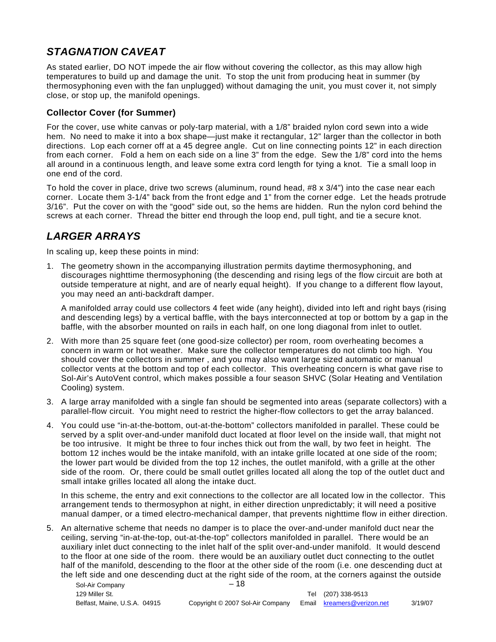### *STAGNATION CAVEAT*

As stated earlier, DO NOT impede the air flow without covering the collector, as this may allow high temperatures to build up and damage the unit. To stop the unit from producing heat in summer (by thermosyphoning even with the fan unplugged) without damaging the unit, you must cover it, not simply close, or stop up, the manifold openings.

#### **Collector Cover (for Summer)**

For the cover, use white canvas or poly-tarp material, with a 1/8" braided nylon cord sewn into a wide hem. No need to make it into a box shape—just make it rectangular, 12" larger than the collector in both directions. Lop each corner off at a 45 degree angle. Cut on line connecting points 12" in each direction from each corner. Fold a hem on each side on a line 3" from the edge. Sew the 1/8" cord into the hems all around in a continuous length, and leave some extra cord length for tying a knot. Tie a small loop in one end of the cord.

To hold the cover in place, drive two screws (aluminum, round head, #8 x 3/4") into the case near each corner. Locate them 3-1/4" back from the front edge and 1" from the corner edge. Let the heads protrude 3/16". Put the cover on with the "good" side out, so the hems are hidden. Run the nylon cord behind the screws at each corner. Thread the bitter end through the loop end, pull tight, and tie a secure knot.

### *LARGER ARRAYS*

In scaling up, keep these points in mind:

1. The geometry shown in the accompanying illustration permits daytime thermosyphoning, and discourages nighttime thermosyphoning (the descending and rising legs of the flow circuit are both at outside temperature at night, and are of nearly equal height). If you change to a different flow layout, you may need an anti-backdraft damper.

A manifolded array could use collectors 4 feet wide (any height), divided into left and right bays (rising and descending legs) by a vertical baffle, with the bays interconnected at top or bottom by a gap in the baffle, with the absorber mounted on rails in each half, on one long diagonal from inlet to outlet.

- 2. With more than 25 square feet (one good-size collector) per room, room overheating becomes a concern in warm or hot weather. Make sure the collector temperatures do not climb too high. You should cover the collectors in summer , and you may also want large sized automatic or manual collector vents at the bottom and top of each collector. This overheating concern is what gave rise to Sol-Air's AutoVent control, which makes possible a four season SHVC (Solar Heating and Ventilation Cooling) system.
- 3. A large array manifolded with a single fan should be segmented into areas (separate collectors) with a parallel-flow circuit. You might need to restrict the higher-flow collectors to get the array balanced.
- 4. You could use "in-at-the-bottom, out-at-the-bottom" collectors manifolded in parallel. These could be served by a split over-and-under manifold duct located at floor level on the inside wall, that might not be too intrusive. It might be three to four inches thick out from the wall, by two feet in height. The bottom 12 inches would be the intake manifold, with an intake grille located at one side of the room; the lower part would be divided from the top 12 inches, the outlet manifold, with a grille at the other side of the room. Or, there could be small outlet grilles located all along the top of the outlet duct and small intake grilles located all along the intake duct.

In this scheme, the entry and exit connections to the collector are all located low in the collector. This arrangement tends to thermosyphon at night, in either direction unpredictably; it will need a positive manual damper, or a timed electro-mechanical damper, that prevents nighttime flow in either direction.

5. An alternative scheme that needs no damper is to place the over-and-under manifold duct near the ceiling, serving "in-at-the-top, out-at-the-top" collectors manifolded in parallel. There would be an auxiliary inlet duct connecting to the inlet half of the split over-and-under manifold. It would descend to the floor at one side of the room. there would be an auxiliary outlet duct connecting to the outlet half of the manifold, descending to the floor at the other side of the room (i.e. one descending duct at the left side and one descending duct at the right side of the room, at the corners against the outside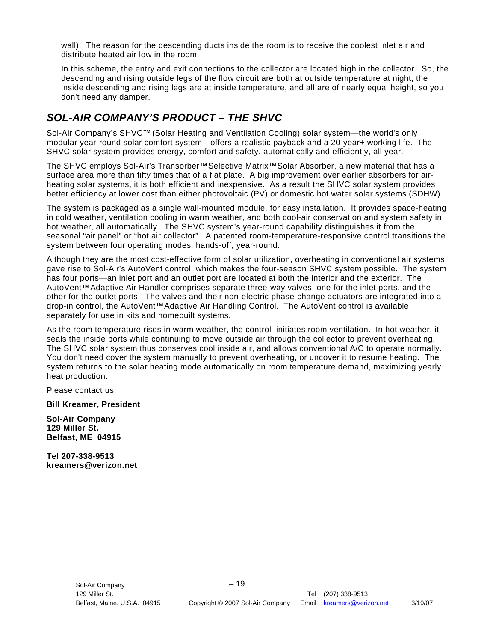wall). The reason for the descending ducts inside the room is to receive the coolest inlet air and distribute heated air low in the room.

In this scheme, the entry and exit connections to the collector are located high in the collector. So, the descending and rising outside legs of the flow circuit are both at outside temperature at night, the inside descending and rising legs are at inside temperature, and all are of nearly equal height, so you don't need any damper.

### *SOL-AIR COMPANY'S PRODUCT – THE SHVC*

Sol-Air Company's SHVC™ (Solar Heating and Ventilation Cooling) solar system—the world's only modular year-round solar comfort system—offers a realistic payback and a 20-year+ working life. The SHVC solar system provides energy, comfort and safety, automatically and efficiently, all year.

The SHVC employs Sol-Air's Transorber™ Selective Matrix™ Solar Absorber, a new material that has a surface area more than fifty times that of a flat plate. A big improvement over earlier absorbers for airheating solar systems, it is both efficient and inexpensive. As a result the SHVC solar system provides better efficiency at lower cost than either photovoltaic (PV) or domestic hot water solar systems (SDHW).

The system is packaged as a single wall-mounted module, for easy installation. It provides space-heating in cold weather, ventilation cooling in warm weather, and both cool-air conservation and system safety in hot weather, all automatically. The SHVC system's year-round capability distinguishes it from the seasonal "air panel" or "hot air collector". A patented room-temperature-responsive control transitions the system between four operating modes, hands-off, year-round.

Although they are the most cost-effective form of solar utilization, overheating in conventional air systems gave rise to Sol-Air's AutoVent control, which makes the four-season SHVC system possible. The system has four ports—an inlet port and an outlet port are located at both the interior and the exterior. The AutoVent™ Adaptive Air Handler comprises separate three-way valves, one for the inlet ports, and the other for the outlet ports. The valves and their non-electric phase-change actuators are integrated into a drop-in control, the AutoVent™ Adaptive Air Handling Control. The AutoVent control is available separately for use in kits and homebuilt systems.

As the room temperature rises in warm weather, the control initiates room ventilation. In hot weather, it seals the inside ports while continuing to move outside air through the collector to prevent overheating. The SHVC solar system thus conserves cool inside air, and allows conventional A/C to operate normally. You don't need cover the system manually to prevent overheating, or uncover it to resume heating. The system returns to the solar heating mode automatically on room temperature demand, maximizing yearly heat production.

Please contact us!

**Bill Kreamer, President** 

**Sol-Air Company 129 Miller St. Belfast, ME 04915** 

**Tel 207-338-9513 kreamers@verizon.net**